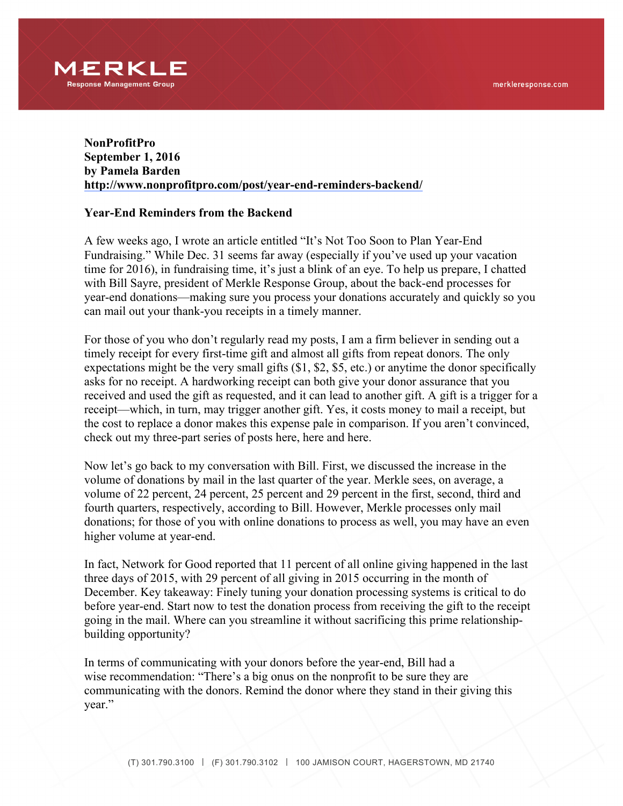

## **NonProfitPro September 1, 2016 by Pamela Barden http://www.nonprofitpro.com/post/year-end-reminders-backend/**

## **Year-End Reminders from the Backend**

A few weeks ago, I wrote an article entitled "It's Not Too Soon to Plan Year-End Fundraising." While Dec. 31 seems far away (especially if you've used up your vacation time for 2016), in fundraising time, it's just a blink of an eye. To help us prepare, I chatted with Bill Sayre, president of Merkle Response Group, about the back-end processes for year-end donations—making sure you process your donations accurately and quickly so you can mail out your thank-you receipts in a timely manner.

For those of you who don't regularly read my posts, I am a firm believer in sending out a timely receipt for every first-time gift and almost all gifts from repeat donors. The only expectations might be the very small gifts (\$1, \$2, \$5, etc.) or anytime the donor specifically asks for no receipt. A hardworking receipt can both give your donor assurance that you received and used the gift as requested, and it can lead to another gift. A gift is a trigger for a receipt—which, in turn, may trigger another gift. Yes, it costs money to mail a receipt, but the cost to replace a donor makes this expense pale in comparison. If you aren't convinced, check out my three-part series of posts here, here and here.

Now let's go back to my conversation with Bill. First, we discussed the increase in the volume of donations by mail in the last quarter of the year. Merkle sees, on average, a volume of 22 percent, 24 percent, 25 percent and 29 percent in the first, second, third and fourth quarters, respectively, according to Bill. However, Merkle processes only mail donations; for those of you with online donations to process as well, you may have an even higher volume at year-end.

In fact, Network for Good reported that 11 percent of all online giving happened in the last three days of 2015, with 29 percent of all giving in 2015 occurring in the month of December. Key takeaway: Finely tuning your donation processing systems is critical to do before year-end. Start now to test the donation process from receiving the gift to the receipt going in the mail. Where can you streamline it without sacrificing this prime relationshipbuilding opportunity?

In terms of communicating with your donors before the year-end, Bill had a wise recommendation: "There's a big onus on the nonprofit to be sure they are communicating with the donors. Remind the donor where they stand in their giving this year."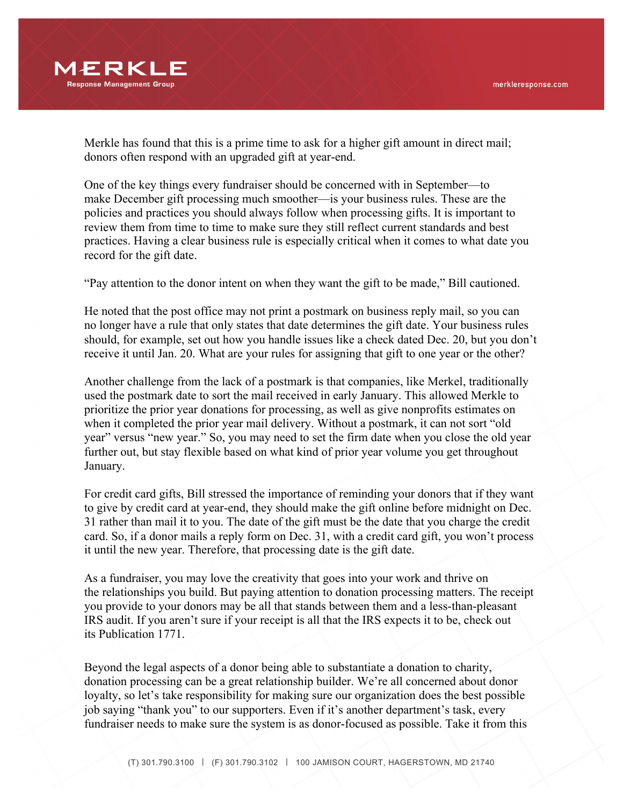

Merkle has found that this is a prime time to ask for a higher gift amount in direct mail; donors often respond with an upgraded gift at year-end.

One of the key things every fundraiser should be concerned with in September—to make December gift processing much smoother—is your business rules. These are the policies and practices you should always follow when processing gifts. It is important to review them from time to time to make sure they still reflect current standards and best practices. Having a clear business rule is especially critical when it comes to what date you record for the gift date.

"Pay attention to the donor intent on when they want the gift to be made," Bill cautioned.

He noted that the post office may not print a postmark on business reply mail, so you can no longer have a rule that only states that date determines the gift date. Your business rules should, for example, set out how you handle issues like a check dated Dec. 20, but you don't receive it until Jan. 20. What are your rules for assigning that gift to one year or the other?

Another challenge from the lack of a postmark is that companies, like Merkel, traditionally used the postmark date to sort the mail received in early January. This allowed Merkle to prioritize the prior year donations for processing, as well as give nonprofits estimates on when it completed the prior year mail delivery. Without a postmark, it can not sort "old year" versus "new year." So, you may need to set the firm date when you close the old year further out, but stay flexible based on what kind of prior year volume you get throughout January.

For credit card gifts, Bill stressed the importance of reminding your donors that if they want to give by credit card at year-end, they should make the gift online before midnight on Dec. 31 rather than mail it to you. The date of the gift must be the date that you charge the credit card. So, if a donor mails a reply form on Dec. 31, with a credit card gift, you won't process it until the new year. Therefore, that processing date is the gift date.

As a fundraiser, you may love the creativity that goes into your work and thrive on the relationships you build. But paying attention to donation processing matters. The receipt you provide to your donors may be all that stands between them and a less-than-pleasant IRS audit. If you aren't sure if your receipt is all that the IRS expects it to be, check out its Publication 1771.

Beyond the legal aspects of a donor being able to substantiate a donation to charity, donation processing can be a great relationship builder. We're all concerned about donor loyalty, so let's take responsibility for making sure our organization does the best possible job saying "thank you" to our supporters. Even if it's another department's task, every fundraiser needs to make sure the system is as donor-focused as possible. Take it from this